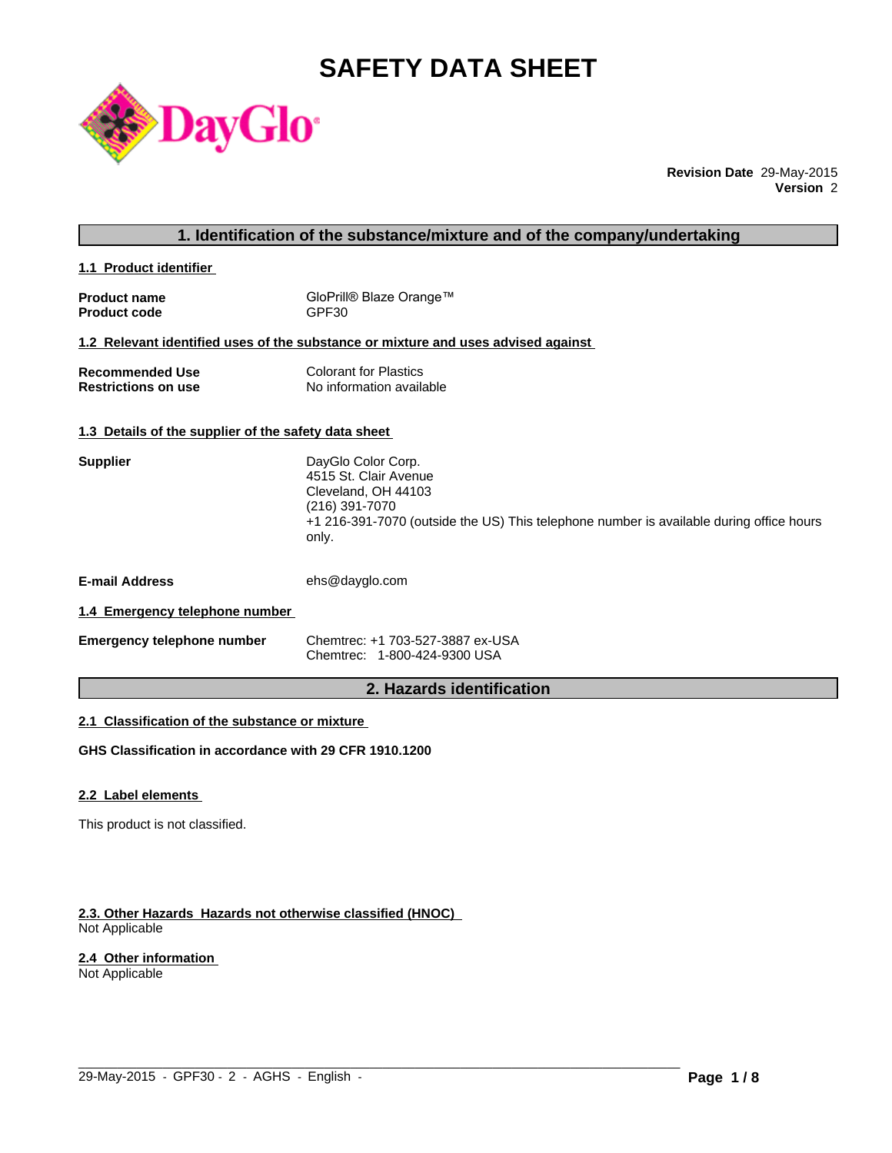# **SAFETY DATA SHEET**



**Revision Date** 29-May-2015 **Version** 2

# **1. Identification of the substance/mixture and of the company/undertaking**

**1.1 Product identifier** 

| <b>Product name</b> | GloPrill® Blaze Orange™ |
|---------------------|-------------------------|
| <b>Product code</b> | GPF30                   |

#### **1.2 Relevant identified uses of the substance or mixture and uses advised against**

| <b>Recommended Use</b>     | <b>Colorant for Plastics</b> |
|----------------------------|------------------------------|
| <b>Restrictions on use</b> | No information available     |

# **1.3 Details of the supplier of the safety data sheet**

| <b>Supplier</b>                | DayGlo Color Corp.<br>4515 St. Clair Avenue<br>Cleveland, OH 44103<br>(216) 391-7070<br>+1 216-391-7070 (outside the US) This telephone number is available during office hours<br>only. |
|--------------------------------|------------------------------------------------------------------------------------------------------------------------------------------------------------------------------------------|
| <b>E-mail Address</b>          | ehs@dayglo.com                                                                                                                                                                           |
| 1.4 Emergency telephone number |                                                                                                                                                                                          |

| <b>Emergency telephone number</b> | Chemtrec: +1 703-527-3887 ex-USA |
|-----------------------------------|----------------------------------|
|                                   | Chemtrec: 1-800-424-9300 USA     |

# **2. Hazards identification**

 $\_$  ,  $\_$  ,  $\_$  ,  $\_$  ,  $\_$  ,  $\_$  ,  $\_$  ,  $\_$  ,  $\_$  ,  $\_$  ,  $\_$  ,  $\_$  ,  $\_$  ,  $\_$  ,  $\_$  ,  $\_$  ,  $\_$  ,  $\_$  ,  $\_$  ,  $\_$  ,  $\_$  ,  $\_$  ,  $\_$  ,  $\_$  ,  $\_$  ,  $\_$  ,  $\_$  ,  $\_$  ,  $\_$  ,  $\_$  ,  $\_$  ,  $\_$  ,  $\_$  ,  $\_$  ,  $\_$  ,  $\_$  ,  $\_$  ,

# **2.1 Classification of the substance or mixture**

**GHS Classification in accordance with 29 CFR 1910.1200**

# **2.2 Label elements**

This product is not classified.

#### **2.3. Other Hazards Hazards not otherwise classified (HNOC)**  Not Applicable

# **2.4 Other information**

Not Applicable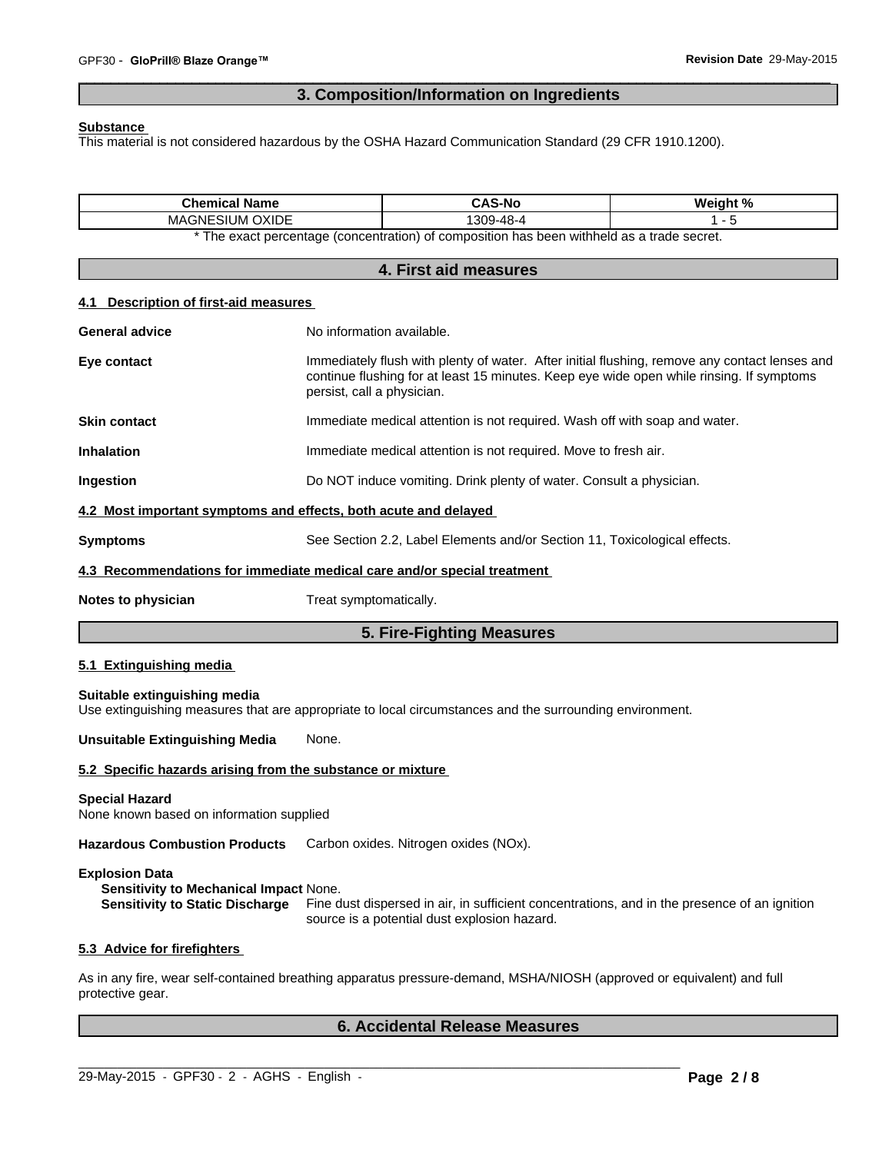# **3. Composition/Information on Ingredients**

 $\overline{\phantom{a}}$  ,  $\overline{\phantom{a}}$  ,  $\overline{\phantom{a}}$  ,  $\overline{\phantom{a}}$  ,  $\overline{\phantom{a}}$  ,  $\overline{\phantom{a}}$  ,  $\overline{\phantom{a}}$  ,  $\overline{\phantom{a}}$  ,  $\overline{\phantom{a}}$  ,  $\overline{\phantom{a}}$  ,  $\overline{\phantom{a}}$  ,  $\overline{\phantom{a}}$  ,  $\overline{\phantom{a}}$  ,  $\overline{\phantom{a}}$  ,  $\overline{\phantom{a}}$  ,  $\overline{\phantom{a}}$ 

#### **Substance**

This material is not considered hazardous by the OSHA Hazard Communication Standard (29 CFR 1910.1200).

| <b>Chemical Name</b><br>MAGNESIUM OXIDE                                                                   |                                                                           | <b>CAS-No</b><br>1309-48-4                                                                                                                                                                | Weight %<br>$1 - 5$ |
|-----------------------------------------------------------------------------------------------------------|---------------------------------------------------------------------------|-------------------------------------------------------------------------------------------------------------------------------------------------------------------------------------------|---------------------|
|                                                                                                           |                                                                           | * The exact percentage (concentration) of composition has been withheld as a trade secret.                                                                                                |                     |
|                                                                                                           |                                                                           | 4. First aid measures                                                                                                                                                                     |                     |
|                                                                                                           |                                                                           |                                                                                                                                                                                           |                     |
| Description of first-aid measures<br>4.1                                                                  |                                                                           |                                                                                                                                                                                           |                     |
| <b>General advice</b>                                                                                     | No information available.                                                 |                                                                                                                                                                                           |                     |
| Eye contact                                                                                               | persist, call a physician.                                                | Immediately flush with plenty of water. After initial flushing, remove any contact lenses and<br>continue flushing for at least 15 minutes. Keep eye wide open while rinsing. If symptoms |                     |
| <b>Skin contact</b>                                                                                       |                                                                           | Immediate medical attention is not required. Wash off with soap and water.                                                                                                                |                     |
| <b>Inhalation</b>                                                                                         |                                                                           | Immediate medical attention is not required. Move to fresh air.                                                                                                                           |                     |
| Ingestion                                                                                                 |                                                                           | Do NOT induce vomiting. Drink plenty of water. Consult a physician.                                                                                                                       |                     |
| 4.2 Most important symptoms and effects, both acute and delayed                                           |                                                                           |                                                                                                                                                                                           |                     |
| <b>Symptoms</b>                                                                                           | See Section 2.2, Label Elements and/or Section 11, Toxicological effects. |                                                                                                                                                                                           |                     |
| 4.3 Recommendations for immediate medical care and/or special treatment                                   |                                                                           |                                                                                                                                                                                           |                     |
| Notes to physician                                                                                        | Treat symptomatically.                                                    |                                                                                                                                                                                           |                     |
|                                                                                                           |                                                                           | 5. Fire-Fighting Measures                                                                                                                                                                 |                     |
| 5.1 Extinguishing media                                                                                   |                                                                           |                                                                                                                                                                                           |                     |
| Suitable extinguishing media                                                                              |                                                                           | Use extinguishing measures that are appropriate to local circumstances and the surrounding environment.                                                                                   |                     |
| <b>Unsuitable Extinguishing Media</b><br>None.                                                            |                                                                           |                                                                                                                                                                                           |                     |
| 5.2 Specific hazards arising from the substance or mixture                                                |                                                                           |                                                                                                                                                                                           |                     |
| <b>Special Hazard</b><br>None known based on information supplied                                         |                                                                           |                                                                                                                                                                                           |                     |
| Hazardous Combustion Products Carbon oxides. Nitrogen oxides (NOx).                                       |                                                                           |                                                                                                                                                                                           |                     |
| <b>Explosion Data</b><br>Sensitivity to Mechanical Impact None.<br><b>Sensitivity to Static Discharge</b> |                                                                           | Fine dust dispersed in air, in sufficient concentrations, and in the presence of an ignition<br>source is a potential dust explosion hazard.                                              |                     |
| 5.3 Advice for firefighters                                                                               |                                                                           |                                                                                                                                                                                           |                     |
| protective gear.                                                                                          |                                                                           | As in any fire, wear self-contained breathing apparatus pressure-demand, MSHA/NIOSH (approved or equivalent) and full                                                                     |                     |
|                                                                                                           |                                                                           | <b>6. Accidental Release Measures</b>                                                                                                                                                     |                     |

 $\_$  ,  $\_$  ,  $\_$  ,  $\_$  ,  $\_$  ,  $\_$  ,  $\_$  ,  $\_$  ,  $\_$  ,  $\_$  ,  $\_$  ,  $\_$  ,  $\_$  ,  $\_$  ,  $\_$  ,  $\_$  ,  $\_$  ,  $\_$  ,  $\_$  ,  $\_$  ,  $\_$  ,  $\_$  ,  $\_$  ,  $\_$  ,  $\_$  ,  $\_$  ,  $\_$  ,  $\_$  ,  $\_$  ,  $\_$  ,  $\_$  ,  $\_$  ,  $\_$  ,  $\_$  ,  $\_$  ,  $\_$  ,  $\_$  ,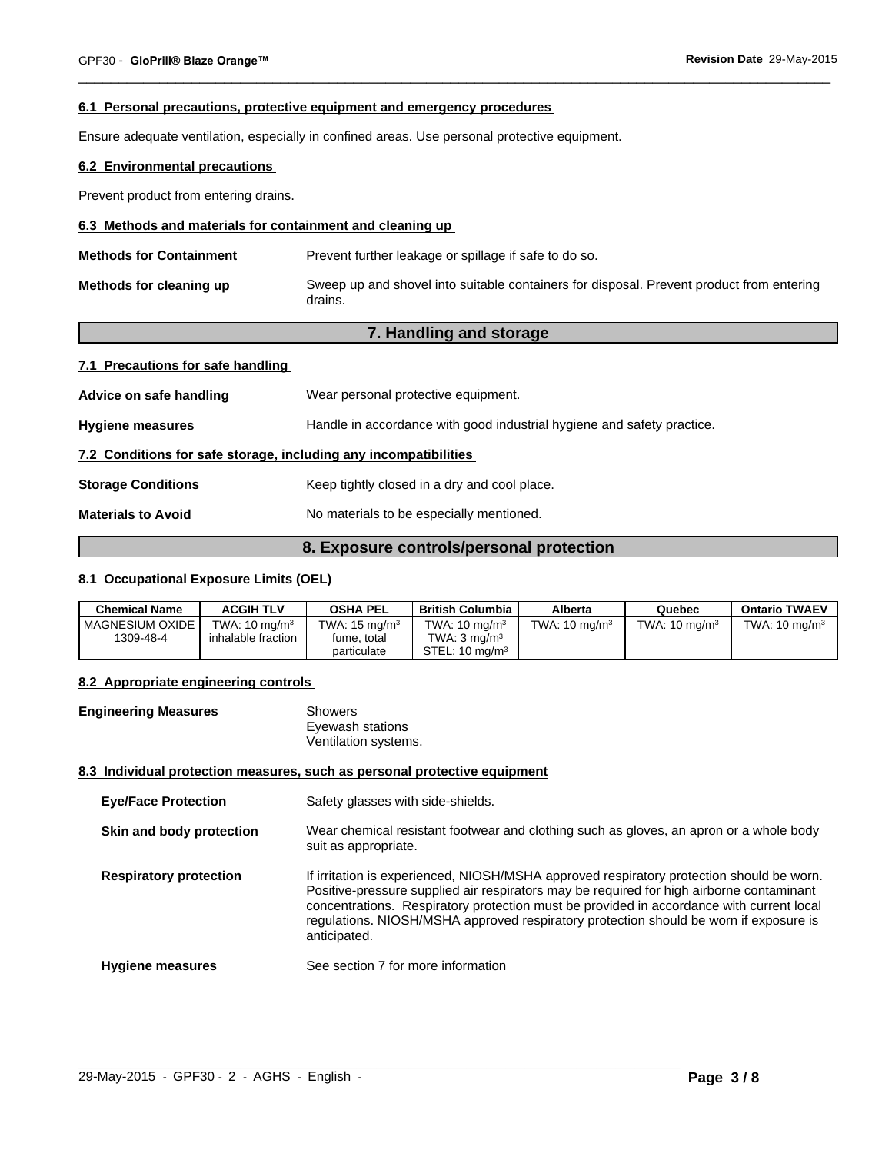### **6.1 Personal precautions, protective equipment and emergency procedures**

Ensure adequate ventilation, especially in confined areas. Use personal protective equipment.

# **6.2 Environmental precautions**

Prevent product from entering drains.

# **6.3 Methods and materials for containment and cleaning up**

| <b>Methods for Containment</b> | Prevent further leakage or spillage if safe to do so.                                               |
|--------------------------------|-----------------------------------------------------------------------------------------------------|
| Methods for cleaning up        | Sweep up and shovel into suitable containers for disposal. Prevent product from entering<br>drains. |

 $\overline{\phantom{a}}$  ,  $\overline{\phantom{a}}$  ,  $\overline{\phantom{a}}$  ,  $\overline{\phantom{a}}$  ,  $\overline{\phantom{a}}$  ,  $\overline{\phantom{a}}$  ,  $\overline{\phantom{a}}$  ,  $\overline{\phantom{a}}$  ,  $\overline{\phantom{a}}$  ,  $\overline{\phantom{a}}$  ,  $\overline{\phantom{a}}$  ,  $\overline{\phantom{a}}$  ,  $\overline{\phantom{a}}$  ,  $\overline{\phantom{a}}$  ,  $\overline{\phantom{a}}$  ,  $\overline{\phantom{a}}$ 

# **7. Handling and storage**

| 7.1 Precautions for safe handling |  |  |
|-----------------------------------|--|--|
|                                   |  |  |

| Advice on safe handling                                          | Wear personal protective equipment.                                    |
|------------------------------------------------------------------|------------------------------------------------------------------------|
| <b>Hygiene measures</b>                                          | Handle in accordance with good industrial hygiene and safety practice. |
| 7.2 Conditions for safe storage, including any incompatibilities |                                                                        |
| <b>Storage Conditions</b>                                        | Keep tightly closed in a dry and cool place.                           |
| <b>Materials to Avoid</b>                                        | No materials to be especially mentioned.                               |

# **8. Exposure controls/personal protection**

# **8.1 Occupational Exposure Limits (OEL)**

| <b>Chemical Name</b> | <b>ACGIH TLV</b>         | <b>OSHA PEL</b>          | <b>British Columbia</b>   | Alberta                  | Quebec                   | <b>Ontario TWAEV</b>     |
|----------------------|--------------------------|--------------------------|---------------------------|--------------------------|--------------------------|--------------------------|
| l MAGNESIUM OXIDE    | TWA: $10 \text{ ma/m}^3$ | TWA: $15 \text{ mg/m}^3$ | TWA: $10 \text{ ma/m}^3$  | TWA: $10 \text{ ma/m}^3$ | TWA: $10 \text{ mg/m}^3$ | TWA: $10 \text{ ma/m}^3$ |
| 1309-48-4            | inhalable fraction       | fume, total              | TWA: $3 \text{ ma/m}^3$   |                          |                          |                          |
|                      |                          | particulate              | STEL: $10 \text{ ma/m}^3$ |                          |                          |                          |

# **8.2 Appropriate engineering controls**

| <b>Engineering Measures</b> | Showers              |
|-----------------------------|----------------------|
|                             | Eyewash stations     |
|                             | Ventilation systems. |

#### **8.3 Individual protection measures, such as personal protective equipment**

| <b>Eye/Face Protection</b>    | Safety glasses with side-shields.                                                                                                                                                                                                                                                                                                                                                         |
|-------------------------------|-------------------------------------------------------------------------------------------------------------------------------------------------------------------------------------------------------------------------------------------------------------------------------------------------------------------------------------------------------------------------------------------|
| Skin and body protection      | Wear chemical resistant footwear and clothing such as gloves, an apron or a whole body<br>suit as appropriate.                                                                                                                                                                                                                                                                            |
| <b>Respiratory protection</b> | If irritation is experienced, NIOSH/MSHA approved respiratory protection should be worn.<br>Positive-pressure supplied air respirators may be required for high airborne contaminant<br>concentrations. Respiratory protection must be provided in accordance with current local<br>regulations. NIOSH/MSHA approved respiratory protection should be worn if exposure is<br>anticipated. |
| <b>Hygiene measures</b>       | See section 7 for more information                                                                                                                                                                                                                                                                                                                                                        |

 $\_$  ,  $\_$  ,  $\_$  ,  $\_$  ,  $\_$  ,  $\_$  ,  $\_$  ,  $\_$  ,  $\_$  ,  $\_$  ,  $\_$  ,  $\_$  ,  $\_$  ,  $\_$  ,  $\_$  ,  $\_$  ,  $\_$  ,  $\_$  ,  $\_$  ,  $\_$  ,  $\_$  ,  $\_$  ,  $\_$  ,  $\_$  ,  $\_$  ,  $\_$  ,  $\_$  ,  $\_$  ,  $\_$  ,  $\_$  ,  $\_$  ,  $\_$  ,  $\_$  ,  $\_$  ,  $\_$  ,  $\_$  ,  $\_$  ,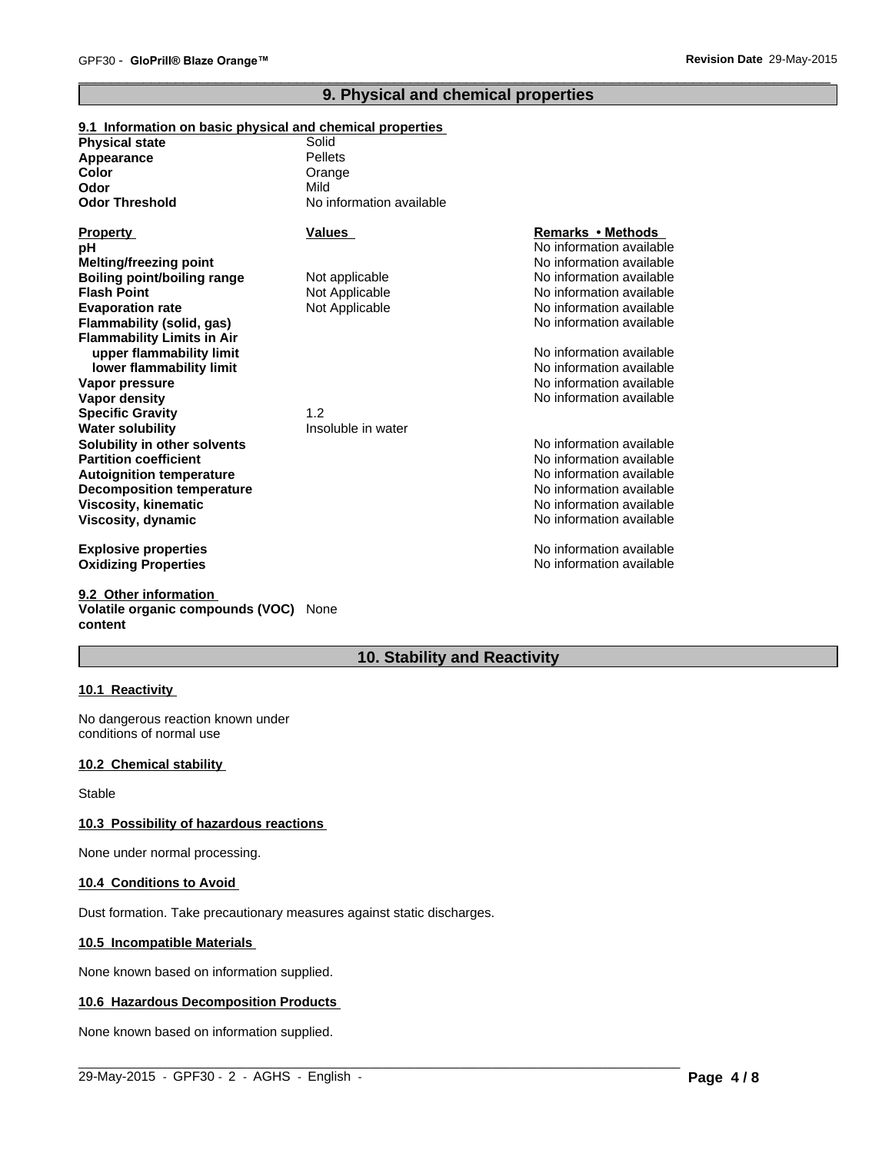# **9. Physical and chemical properties**

 $\overline{\phantom{a}}$  ,  $\overline{\phantom{a}}$  ,  $\overline{\phantom{a}}$  ,  $\overline{\phantom{a}}$  ,  $\overline{\phantom{a}}$  ,  $\overline{\phantom{a}}$  ,  $\overline{\phantom{a}}$  ,  $\overline{\phantom{a}}$  ,  $\overline{\phantom{a}}$  ,  $\overline{\phantom{a}}$  ,  $\overline{\phantom{a}}$  ,  $\overline{\phantom{a}}$  ,  $\overline{\phantom{a}}$  ,  $\overline{\phantom{a}}$  ,  $\overline{\phantom{a}}$  ,  $\overline{\phantom{a}}$ 

#### **9.1 Information on basic physical and chemical properties Physical state Decomposition temperature** No information available No information available **Odor Threshold** No information available **Viscosity, kinematic Flash Point** No information available Not Applicable **Viscosity, dynamic Color** No information available No information available Orange **Explosive properties Evaporation rate** Not Applicable No information available **Oxidizing Properties No information available No information available** No information available **Flammability (solid, gas) Appearance** No information available **Flammability Limits in Air Property Values upper flammability limit**<br> **lower flammability limit**<br> **lower flammability limit**<br> **lower flammability limit Remarks•Methods lower flammability limit Odor Vapor pressure pH** No information available Mild **Vapor density**<br> **Vapor density**<br> **Specific Gravity**<br>
12 No information available **Specific Gravity** Pellets **Melting/freezing point Water solubility Insoluble in water Solubility in other solvents** No information available No information available<br>No information available **Partition coefficient**<br> **Partition coefficient**<br> **Autoignition temperature**<br> **Autoignition temperature Boiling point/boiling range** Not applicable **Autoignition temperature**

**9.2 Other information Volatile organic compounds (VOC)** None **content**

# **10. Stability and Reactivity**

 $\_$  ,  $\_$  ,  $\_$  ,  $\_$  ,  $\_$  ,  $\_$  ,  $\_$  ,  $\_$  ,  $\_$  ,  $\_$  ,  $\_$  ,  $\_$  ,  $\_$  ,  $\_$  ,  $\_$  ,  $\_$  ,  $\_$  ,  $\_$  ,  $\_$  ,  $\_$  ,  $\_$  ,  $\_$  ,  $\_$  ,  $\_$  ,  $\_$  ,  $\_$  ,  $\_$  ,  $\_$  ,  $\_$  ,  $\_$  ,  $\_$  ,  $\_$  ,  $\_$  ,  $\_$  ,  $\_$  ,  $\_$  ,  $\_$  ,

# **10.1 Reactivity**

No dangerous reaction known under conditions of normal use

#### **10.2 Chemical stability**

Stable

#### **10.3 Possibility of hazardous reactions**

None under normal processing.

#### **10.4 Conditions to Avoid**

Dust formation. Take precautionary measures against static discharges.

#### **10.5 Incompatible Materials**

None known based on information supplied.

#### **10.6 Hazardous Decomposition Products**

None known based on information supplied.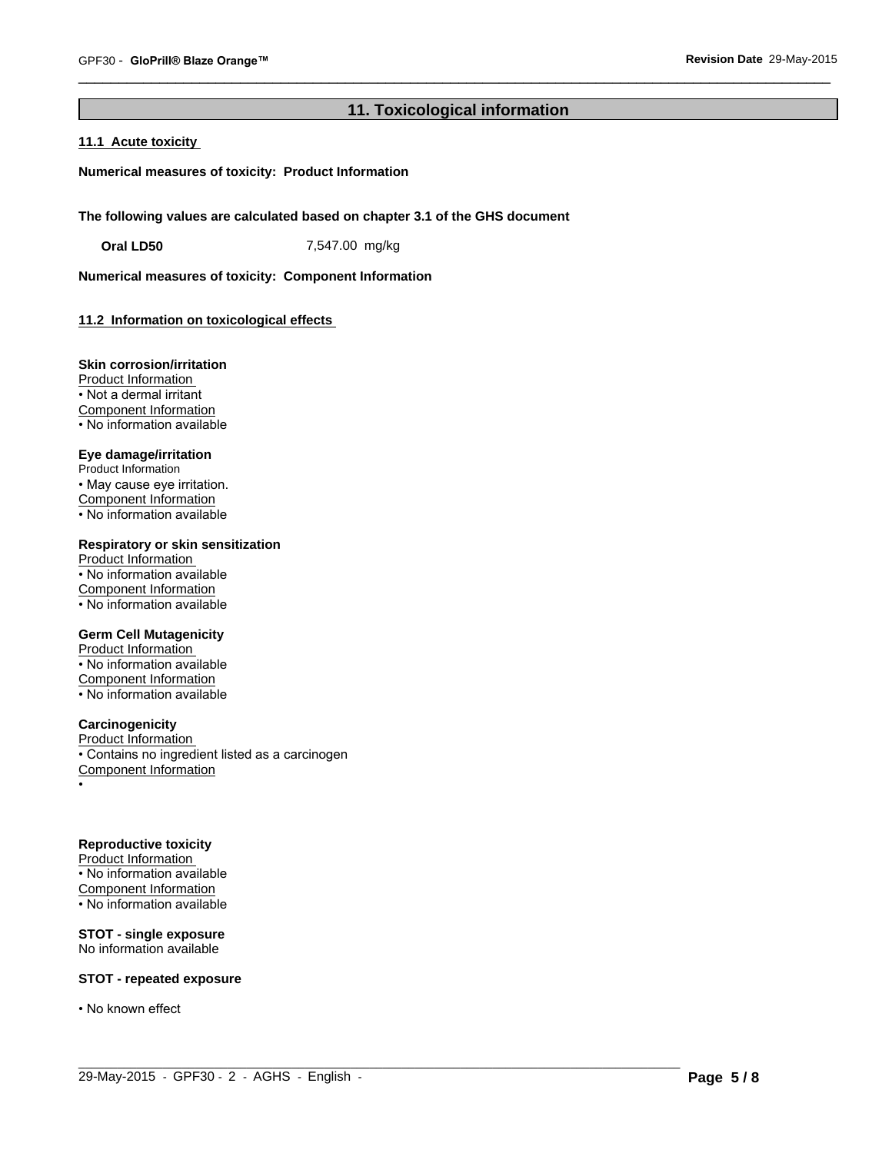# **11. Toxicological information**

 $\_$  ,  $\_$  ,  $\_$  ,  $\_$  ,  $\_$  ,  $\_$  ,  $\_$  ,  $\_$  ,  $\_$  ,  $\_$  ,  $\_$  ,  $\_$  ,  $\_$  ,  $\_$  ,  $\_$  ,  $\_$  ,  $\_$  ,  $\_$  ,  $\_$  ,  $\_$  ,  $\_$  ,  $\_$  ,  $\_$  ,  $\_$  ,  $\_$  ,  $\_$  ,  $\_$  ,  $\_$  ,  $\_$  ,  $\_$  ,  $\_$  ,  $\_$  ,  $\_$  ,  $\_$  ,  $\_$  ,  $\_$  ,  $\_$  ,

 $\overline{\phantom{a}}$  ,  $\overline{\phantom{a}}$  ,  $\overline{\phantom{a}}$  ,  $\overline{\phantom{a}}$  ,  $\overline{\phantom{a}}$  ,  $\overline{\phantom{a}}$  ,  $\overline{\phantom{a}}$  ,  $\overline{\phantom{a}}$  ,  $\overline{\phantom{a}}$  ,  $\overline{\phantom{a}}$  ,  $\overline{\phantom{a}}$  ,  $\overline{\phantom{a}}$  ,  $\overline{\phantom{a}}$  ,  $\overline{\phantom{a}}$  ,  $\overline{\phantom{a}}$  ,  $\overline{\phantom{a}}$ 

### **11.1 Acute toxicity**

**Numerical measures of toxicity: Product Information**

**The following values are calculated based on chapter 3.1 of the GHS document**

**Oral LD50** 7,547.00 mg/kg

**Numerical measures of toxicity: Component Information**

# **11.2 Information on toxicological effects**

#### **Skin corrosion/irritation**

Product Information • Not a dermal irritant Component Information • No information available

# **Eye damage/irritation**

Product Information • May cause eye irritation. Component Information • No information available

# **Respiratory or skin sensitization**

Product Information • No information available Component Information • No information available

#### **Germ Cell Mutagenicity**

Product Information • No information available Component Information • No information available

# **Carcinogenicity**

Product Information • Contains no ingredient listed as a carcinogen Component Information •

# **Reproductive toxicity**

Product Information • No information available Component Information • No information available

# **STOT - single exposure**

No information available

# **STOT - repeated exposure**

• No known effect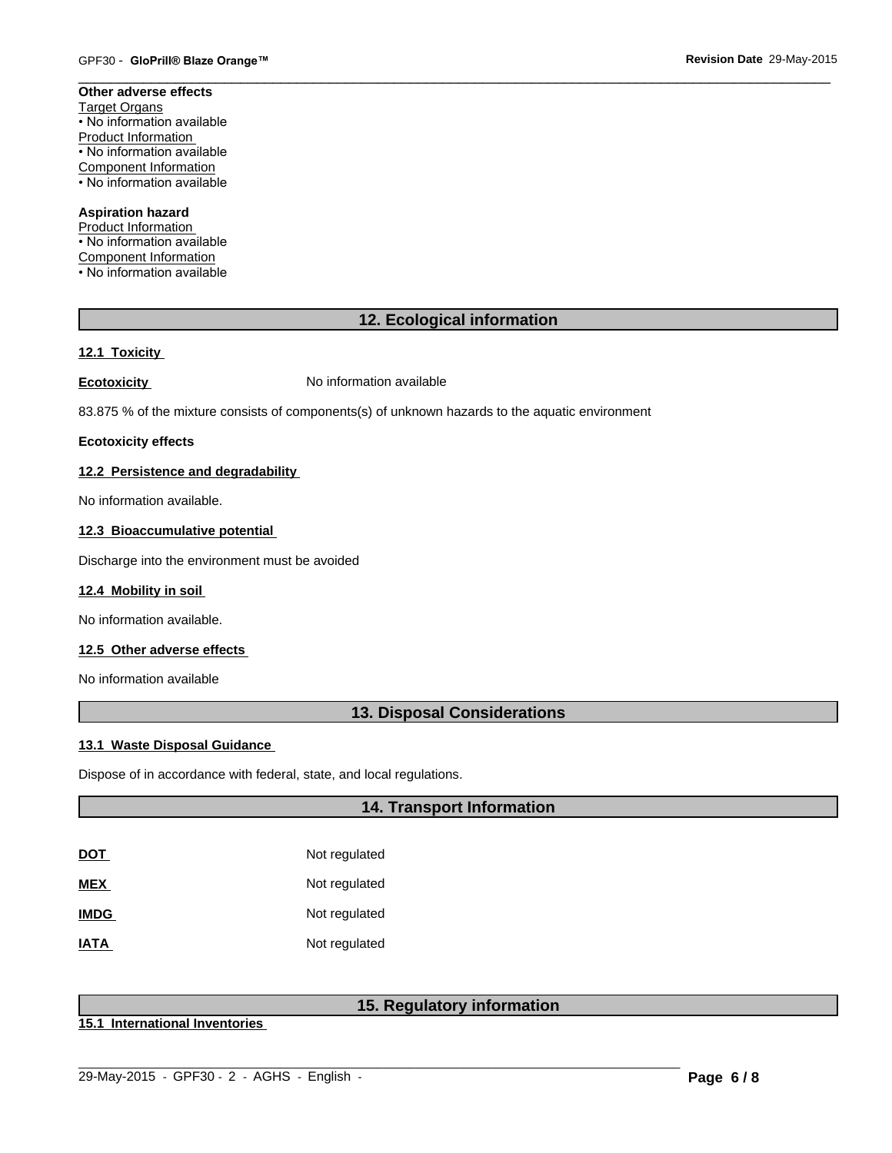#### **Other adverse effects** Target Organs • No information available Product Information • No information available Component Information • No information available

# **Aspiration hazard**

Product Information • No information available Component Information • No information available

# **12. Ecological information**

 $\overline{\phantom{a}}$  ,  $\overline{\phantom{a}}$  ,  $\overline{\phantom{a}}$  ,  $\overline{\phantom{a}}$  ,  $\overline{\phantom{a}}$  ,  $\overline{\phantom{a}}$  ,  $\overline{\phantom{a}}$  ,  $\overline{\phantom{a}}$  ,  $\overline{\phantom{a}}$  ,  $\overline{\phantom{a}}$  ,  $\overline{\phantom{a}}$  ,  $\overline{\phantom{a}}$  ,  $\overline{\phantom{a}}$  ,  $\overline{\phantom{a}}$  ,  $\overline{\phantom{a}}$  ,  $\overline{\phantom{a}}$ 

# **12.1 Toxicity**

**Ecotoxicity No information available** 

83.875 % of the mixture consists of components(s) of unknown hazards to the aquatic environment

# **Ecotoxicity effects**

# **12.2 Persistence and degradability**

No information available.

# **12.3 Bioaccumulative potential**

Discharge into the environment must be avoided

# **12.4 Mobility in soil**

No information available.

# **12.5 Other adverse effects**

No information available

# **13. Disposal Considerations**

# **13.1 Waste Disposal Guidance**

Dispose of in accordance with federal, state, and local regulations.

# **14. Transport Information**

| <u>DOT</u>  | Not regulated |
|-------------|---------------|
| MEX         | Not regulated |
| <b>IMDG</b> | Not regulated |
| <b>ATAI</b> | Not regulated |

# **15. Regulatory information**

**15.1 International Inventories**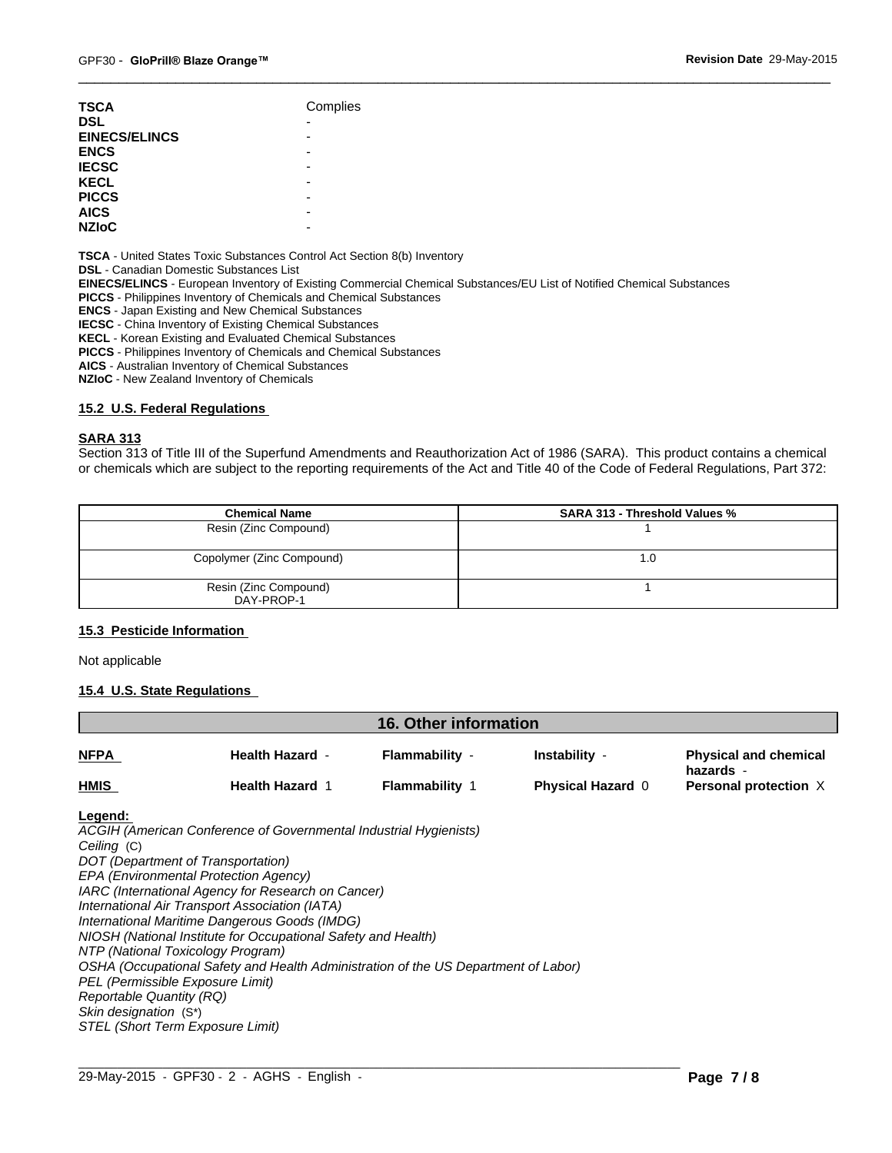| <b>TSCA</b>                 | Complies                 |
|-----------------------------|--------------------------|
| <b>DSL</b>                  | $\overline{\phantom{0}}$ |
| <b>EINECS/ELINCS</b>        | -                        |
| <b>ENCS</b>                 | -                        |
| <b>IECSC</b>                | -                        |
| <b>KECL</b>                 | -                        |
| <b>PICCS</b>                | -                        |
| <b>AICS</b><br><b>NZIOC</b> | -                        |

**TSCA** - United States Toxic Substances Control Act Section 8(b) Inventory

**DSL** - Canadian Domestic Substances List

**EINECS/ELINCS** - European Inventory of Existing Commercial Chemical Substances/EU List of Notified Chemical Substances

**PICCS** - Philippines Inventory of Chemicals and Chemical Substances

**ENCS** - Japan Existing and New Chemical Substances

**IECSC** - China Inventory of Existing Chemical Substances

**KECL** - Korean Existing and Evaluated Chemical Substances

**PICCS** - Philippines Inventory of Chemicals and Chemical Substances

**AICS** - Australian Inventory of Chemical Substances

**NZIoC** - New Zealand Inventory of Chemicals

#### **15.2 U.S. Federal Regulations**

# **SARA 313**

Section 313 of Title III of the Superfund Amendments and Reauthorization Act of 1986 (SARA). This product contains a chemical or chemicals which are subject to the reporting requirements of the Act and Title 40 of the Code of Federal Regulations, Part 372:

 $\overline{\phantom{a}}$  ,  $\overline{\phantom{a}}$  ,  $\overline{\phantom{a}}$  ,  $\overline{\phantom{a}}$  ,  $\overline{\phantom{a}}$  ,  $\overline{\phantom{a}}$  ,  $\overline{\phantom{a}}$  ,  $\overline{\phantom{a}}$  ,  $\overline{\phantom{a}}$  ,  $\overline{\phantom{a}}$  ,  $\overline{\phantom{a}}$  ,  $\overline{\phantom{a}}$  ,  $\overline{\phantom{a}}$  ,  $\overline{\phantom{a}}$  ,  $\overline{\phantom{a}}$  ,  $\overline{\phantom{a}}$ 

| <b>Chemical Name</b>                | <b>SARA 313 - Threshold Values %</b> |
|-------------------------------------|--------------------------------------|
| Resin (Zinc Compound)               |                                      |
| Copolymer (Zinc Compound)           | 1.0                                  |
| Resin (Zinc Compound)<br>DAY-PROP-1 |                                      |

#### **15.3 Pesticide Information**

Not applicable

#### **15.4 U.S. State Regulations**

| <b>16. Other information</b> |                        |                       |                          |                                           |
|------------------------------|------------------------|-----------------------|--------------------------|-------------------------------------------|
| <b>NFPA</b>                  | <b>Health Hazard -</b> | Flammability -        | Instability -            | <b>Physical and chemical</b><br>hazards - |
| <b>HMIS</b>                  | <b>Health Hazard 1</b> | <b>Flammability</b> 1 | <b>Physical Hazard 0</b> | <b>Personal protection X</b>              |

 $\_$  ,  $\_$  ,  $\_$  ,  $\_$  ,  $\_$  ,  $\_$  ,  $\_$  ,  $\_$  ,  $\_$  ,  $\_$  ,  $\_$  ,  $\_$  ,  $\_$  ,  $\_$  ,  $\_$  ,  $\_$  ,  $\_$  ,  $\_$  ,  $\_$  ,  $\_$  ,  $\_$  ,  $\_$  ,  $\_$  ,  $\_$  ,  $\_$  ,  $\_$  ,  $\_$  ,  $\_$  ,  $\_$  ,  $\_$  ,  $\_$  ,  $\_$  ,  $\_$  ,  $\_$  ,  $\_$  ,  $\_$  ,  $\_$  ,

#### **Legend:**

*ACGIH (American Conference of Governmental Industrial Hygienists) Ceiling* (C) *DOT (Department of Transportation) EPA (Environmental Protection Agency) IARC (International Agency for Research on Cancer) International Air Transport Association (IATA) International Maritime Dangerous Goods (IMDG) NIOSH (National Institute for Occupational Safety and Health) NTP (National Toxicology Program) OSHA (Occupational Safety and Health Administration of the US Department of Labor) PEL (Permissible Exposure Limit) Reportable Quantity (RQ) Skin designation* (S\*) *STEL (Short Term Exposure Limit)*